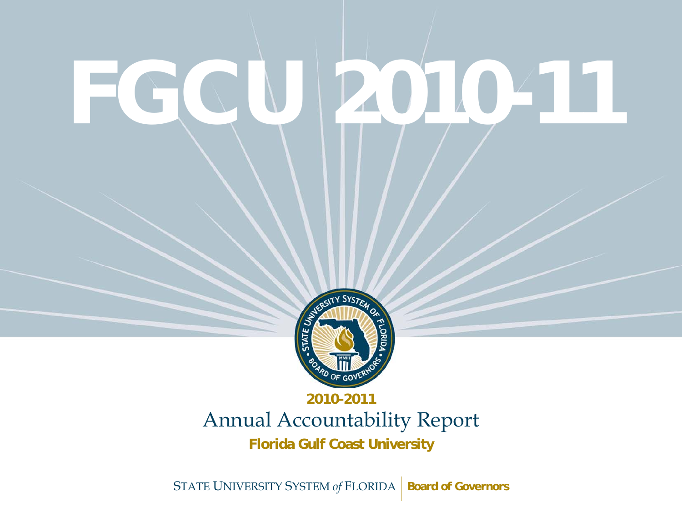# **FGCU 2010-11**



# **2010-2011** Annual Accountability Report

**Florida Gulf Coast University**

STATE UNIVERSITY SYSTEM *of* FLORIDA **Board of Governors**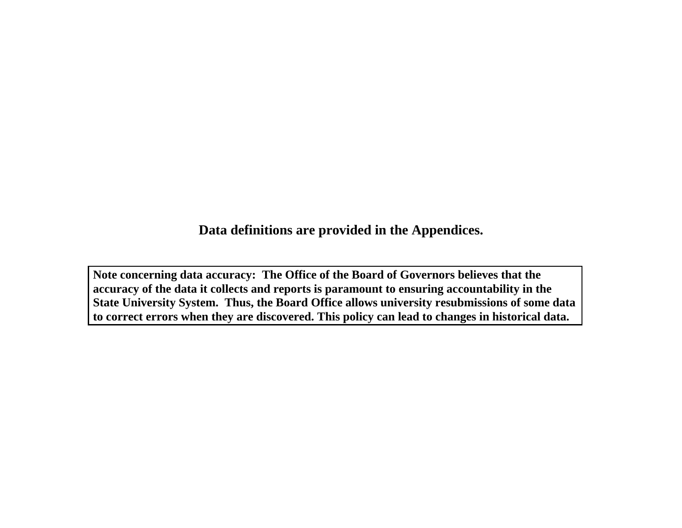**Data definitions are provided in the Appendices.** 

**Note concerning data accuracy: The Office of the Board of Governors believes that the accuracy of the data it collects and reports is paramount to ensuring accountability in the State University System. Thus, the Board Office allows university resubmissions of some data to correct errors when they are discovered. This policy can lead to changes in historical data.**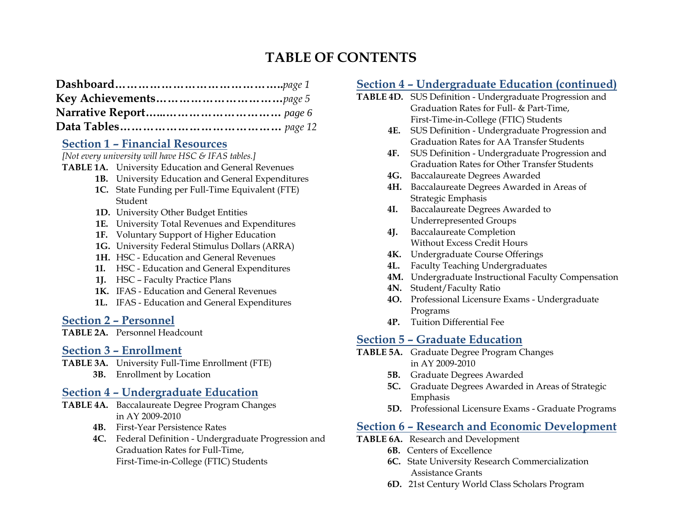# **TABLE OF CONTENTS**

#### **Section 1 – Financial Resources**

*[Not every university will have HSC & IFAS tables.]* 

- **TABLE 1A.** University Education and General Revenues
	- **1B.** University Education and General Expenditures
	- **1C.** State Funding per Full-Time Equivalent (FTE) Student
	- **1D.** University Other Budget Entities
	- **1E.** University Total Revenues and Expenditures
	- **1F.** Voluntary Support of Higher Education
	- **1G.** University Federal Stimulus Dollars (ARRA)
	- **1H.** HSC Education and General Revenues
	- **1I.** HSC Education and General Expenditures
	- **1J.** HSC Faculty Practice Plans
	- **1K.** IFAS Education and General Revenues
	- **1L.** IFAS Education and General Expenditures

#### **Section 2 – Personnel**

**TABLE 2A.** Personnel Headcount

#### **Section 3 – Enrollment**

**TABLE 3A.** University Full-Time Enrollment (FTE) **3B.** Enrollment by Location

#### **Section 4 – Undergraduate Education**

- **TABLE 4A.** Baccalaureate Degree Program Changes in AY 2009-2010
	- **4B.** First-Year Persistence Rates
	- **4C.** Federal Definition Undergraduate Progression and Graduation Rates for Full-Time, First-Time-in-College (FTIC) Students

#### **Section 4 – Undergraduate Education (continued)**

- **TABLE 4D.** SUS Definition Undergraduate Progression and Graduation Rates for Full- & Part-Time, First-Time-in-College (FTIC) Students
	- **4E.** SUS Definition Undergraduate Progression and Graduation Rates for AA Transfer Students
	- **4F.** SUS Definition Undergraduate Progression and Graduation Rates for Other Transfer Students
	- **4G.** Baccalaureate Degrees Awarded
	- **4H.** Baccalaureate Degrees Awarded in Areas of Strategic Emphasis
	- **4I.** Baccalaureate Degrees Awarded to Underrepresented Groups
	- **4J.** Baccalaureate Completion Without Excess Credit Hours
	- **4K.** Undergraduate Course Offerings
	- **4L.** Faculty Teaching Undergraduates
	- **4M.** Undergraduate Instructional Faculty Compensation
	- **4N.** Student/Faculty Ratio
	- **4O.** Professional Licensure Exams Undergraduate Programs
	- **4P.** Tuition Differential Fee

#### **Section 5 – Graduate Education**

- **TABLE 5A.** Graduate Degree Program Changes in AY 2009-2010
	- **5B.** Graduate Degrees Awarded
	- **5C.** Graduate Degrees Awarded in Areas of Strategic Emphasis
	- **5D.** Professional Licensure Exams Graduate Programs

#### **Section 6 – Research and Economic Development**

- **TABLE 6A.** Research and Development
	- **6B.** Centers of Excellence
	- **6C.** State University Research Commercialization Assistance Grants
	- **6D.** 21st Century World Class Scholars Program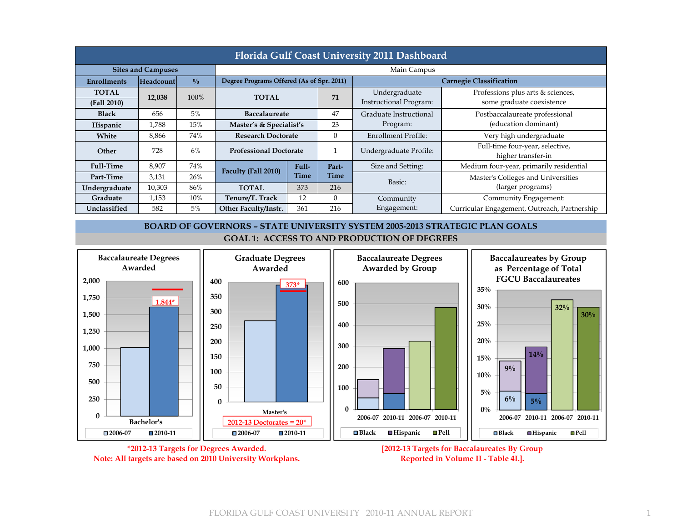| <b>Florida Gulf Coast University 2011 Dashboard</b> |                           |               |                                           |       |                                                      |                            |                                                                |                        |                                |
|-----------------------------------------------------|---------------------------|---------------|-------------------------------------------|-------|------------------------------------------------------|----------------------------|----------------------------------------------------------------|------------------------|--------------------------------|
|                                                     | <b>Sites and Campuses</b> |               |                                           |       |                                                      | Main Campus                |                                                                |                        |                                |
| <b>Enrollments</b>                                  | Headcount                 | $\frac{0}{0}$ | Degree Programs Offered (As of Spr. 2011) |       |                                                      |                            | <b>Carnegie Classification</b>                                 |                        |                                |
| <b>TOTAL</b><br>(Fall 2010)                         | 12,038                    | 100%          | <b>TOTAL</b>                              |       | Undergraduate<br>71<br><b>Instructional Program:</b> |                            | Professions plus arts & sciences,<br>some graduate coexistence |                        |                                |
| <b>Black</b>                                        | 656                       | 5%            | <b>Baccalaureate</b>                      |       |                                                      |                            | 47                                                             | Graduate Instructional | Postbaccalaureate professional |
| Hispanic                                            | 1,788                     | 15%           | Master's & Specialist's                   |       | 23                                                   | Program:                   | (education dominant)                                           |                        |                                |
| White                                               | 8,866                     | 74%           | <b>Research Doctorate</b>                 |       | $\theta$                                             | <b>Enrollment Profile:</b> | Very high undergraduate                                        |                        |                                |
| Other                                               | 728                       | 6%            | <b>Professional Doctorate</b>             |       | 1                                                    | Undergraduate Profile:     | Full-time four-year, selective,<br>higher transfer-in          |                        |                                |
| <b>Full-Time</b>                                    | 8,907                     | 74%           | Faculty (Fall 2010)                       | Full- | Part-                                                | Size and Setting:          | Medium four-year, primarily residential                        |                        |                                |
| Part-Time                                           | 3,131                     | 26%           |                                           | Time  | Time                                                 | Basic:                     | Master's Colleges and Universities                             |                        |                                |
| Undergraduate                                       | 10,303                    | 86%           | <b>TOTAL</b>                              | 373   | 216                                                  |                            | (larger programs)                                              |                        |                                |
| Graduate                                            | 1,153                     | 10%           | Tenure/T. Track                           | 12    | $\Omega$                                             | Community                  | Community Engagement:                                          |                        |                                |
| Unclassified                                        | 582                       | $5\%$         | Other Faculty/Instr.                      | 361   | 216                                                  | Engagement:                | Curricular Engagement, Outreach, Partnership                   |                        |                                |

#### **BOARD OF GOVERNORS – STATE UNIVERSITY SYSTEM 2005-2013 STRATEGIC PLAN GOALSGOAL 1: ACCESS TO AND PRODUCTION OF DEGREES**



**\*2012-13 Targets for Degrees Awarded. Note: All targets are based on 2010 University Workplans.** **[2012-13 Targets for Baccalaureates By Group Reported in Volume II - Table 4I.].**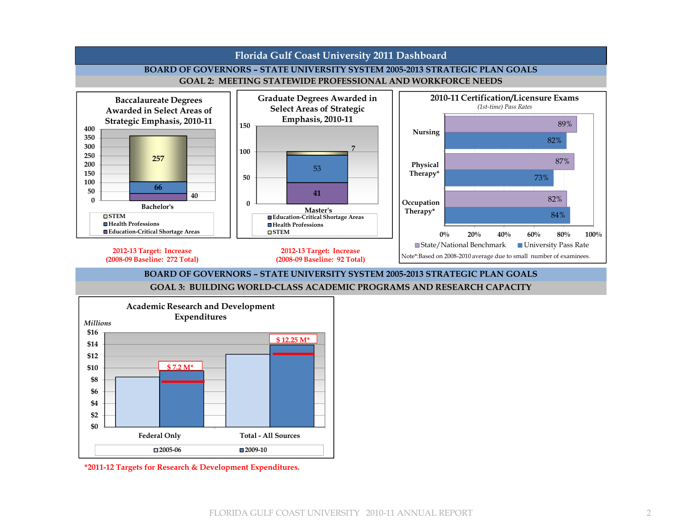

**GOAL 3: BUILDING WORLD-CLASS ACADEMIC PROGRAMS AND RESEARCH CAPACITY**



 **\*2011-12 Targets for Research & Development Expenditures.**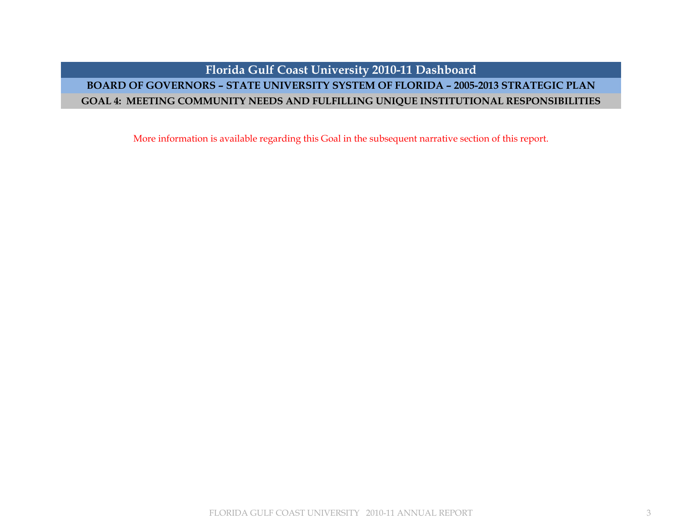## **Florida Gulf Coast University 2010-11 Dashboard BOARD OF GOVERNORS – STATE UNIVERSITY SYSTEM OF FLORIDA – 2005-2013 STRATEGIC PLAN GOAL 4: MEETING COMMUNITY NEEDS AND FULFILLING UNIQUE INSTITUTIONAL RESPONSIBILITIES**

More information is available regarding this Goal in the subsequent narrative section of this report.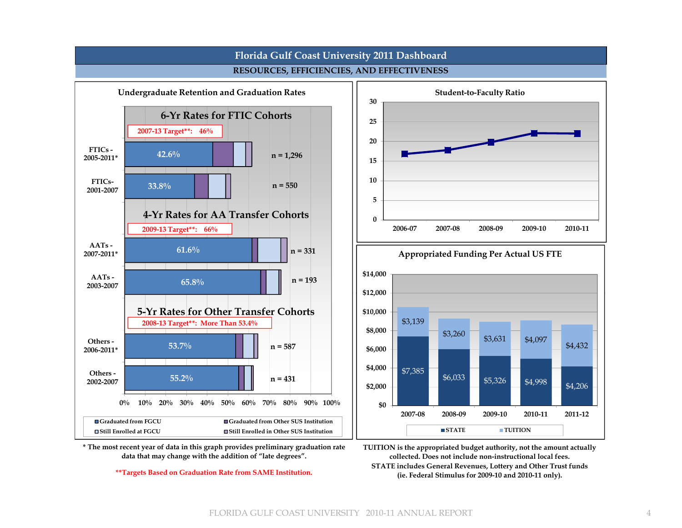

#### **Florida Gulf Coast University 2011 Dashboard RESOURCES, EFFICIENCIES, AND EFFECTIVENESS**

**\* The most recent year of data in this graph provides preliminary graduation rate data that may change with the addition of "late degrees".** 





**TUITION is the appropriated budget authority, not the amount actually collected. Does not include non-instructional local fees. STATE includes General Revenues, Lottery and Other Trust funds (ie. Federal Stimulus for 2009-10 and 2010-11 only). \*\*Targets Based on Graduation Rate from SAME Institution.**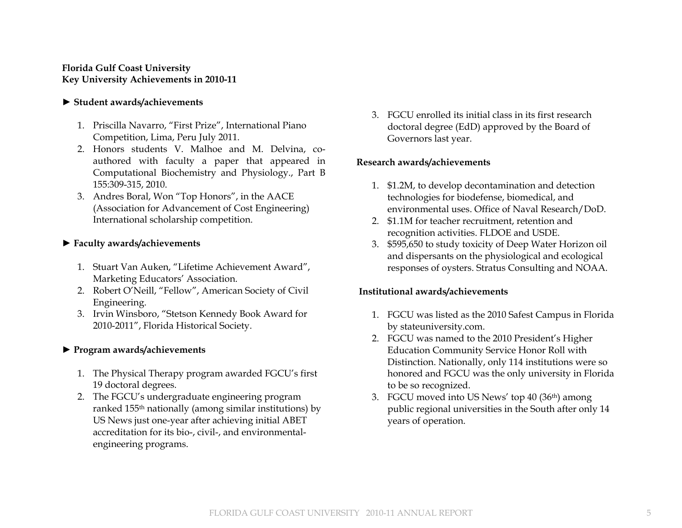#### **Florida Gulf Coast University Key University Achievements in 2010-11**

#### **► Student awards/achievements**

- 1. Priscilla Navarro, "First Prize", International Piano Competition, Lima, Peru July 2011.
- 2. Honors students V. Malhoe and M. Delvina, coauthored with faculty a paper that appeared in Computational Biochemistry and Physiology., Part B 155:309-315, 2010.
- 3. Andres Boral, Won "Top Honors", in the AACE (Association for Advancement of Cost Engineering) International scholarship competition.

#### ► **Faculty awards/achievements**

- 1. Stuart Van Auken, "Lifetime Achievement Award", Marketing Educators' Association.
- 2. Robert O'Neill, "Fellow", American Society of Civil Engineering.
- 3. Irvin Winsboro, "Stetson Kennedy Book Award for 2010-2011", Florida Historical Society.

#### ► **Program awards/achievements**

- 1. The Physical Therapy program awarded FGCU's first 19 doctoral degrees.
- 2. The FGCU's undergraduate engineering program ranked 155th nationally (among similar institutions) by US News just one-year after achieving initial ABET accreditation for its bio-, civil-, and environmentalengineering programs.

3. FGCU enrolled its initial class in its first research doctoral degree (EdD) approved by the Board of Governors last year.

#### **Research awards/achievements**

- 1. \$1.2M, to develop decontamination and detection technologies for biodefense, biomedical, and environmental uses. Office of Naval Research/DoD.
- 2. \$1.1M for teacher recruitment, retention and recognition activities. FLDOE and USDE.
- 3. \$595,650 to study toxicity of Deep Water Horizon oil and dispersants on the physiological and ecological responses of oysters. Stratus Consulting and NOAA.

#### **Institutional awards/achievements**

- 1. FGCU was listed as the 2010 Safest Campus in Florida by stateuniversity.com.
- 2. FGCU was named to the 2010 President's Higher Education Community Service Honor Roll with Distinction. Nationally, only 114 institutions were so honored and FGCU was the only university in Florida to be so recognized.
- 3. FGCU moved into US News' top 40 (36th) among public regional universities in the South after only 14 years of operation.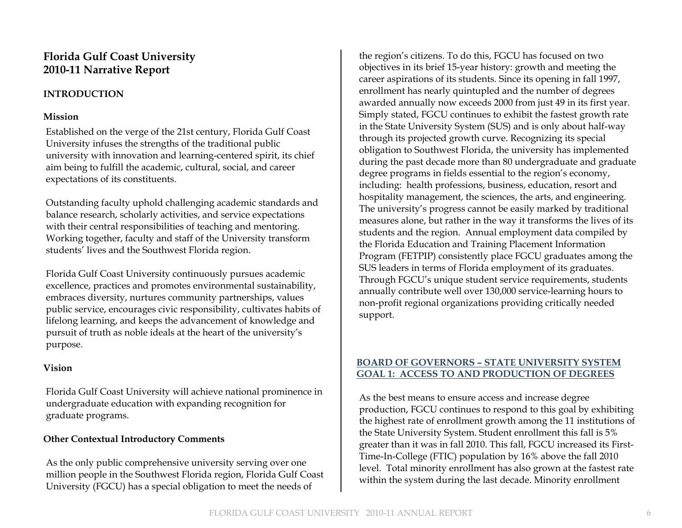### **Florida Gulf Coast University 2010-11 Narrative Report**

#### **INTRODUCTION**

#### **Mission**

Established on the verge of the 21st century, Florida Gulf Coast University infuses the strengths of the traditional public university with innovation and learning-centered spirit, its chief aim being to fulfill the academic, cultural, social, and career expectations of its constituents.

Outstanding faculty uphold challenging academic standards and balance research, scholarly activities, and service expectations with their central responsibilities of teaching and mentoring. Working together, faculty and staff of the University transform students' lives and the Southwest Florida region.

Florida Gulf Coast University continuously pursues academic excellence, practices and promotes environmental sustainability, embraces diversity, nurtures community partnerships, values public service, encourages civic responsibility, cultivates habits of lifelong learning, and keeps the advancement of knowledge and pursuit of truth as noble ideals at the heart of the university's purpose.

#### **Vision**

Florida Gulf Coast University will achieve national prominence in undergraduate education with expanding recognition for graduate programs.

#### **Other Contextual Introductory Comments**

As the only public comprehensive university serving over one million people in the Southwest Florida region, Florida Gulf Coast University (FGCU) has a special obligation to meet the needs of

the region's citizens. To do this, FGCU has focused on two objectives in its brief 15-year history: growth and meeting the career aspirations of its students. Since its opening in fall 1997, enrollment has nearly quintupled and the number of degrees awarded annually now exceeds 2000 from just 49 in its first year. Simply stated, FGCU continues to exhibit the fastest growth rate in the State University System (SUS) and is only about half-way through its projected growth curve. Recognizing its special obligation to Southwest Florida, the university has implemented during the past decade more than 80 undergraduate and graduate degree programs in fields essential to the region's economy, including: health professions, business, education, resort and hospitality management, the sciences, the arts, and engineering. The university's progress cannot be easily marked by traditional measures alone, but rather in the way it transforms the lives of its students and the region. Annual employment data compiled by the Florida Education and Training Placement Information Program (FETPIP) consistently place FGCU graduates among the SUS leaders in terms of Florida employment of its graduates. Through FGCU's unique student service requirements, students annually contribute well over 130,000 service-learning hours to non-profit regional organizations providing critically needed support.

#### **BOARD OF GOVERNORS – STATE UNIVERSITY SYSTEM GOAL 1: ACCESS TO AND PRODUCTION OF DEGREES**

As the best means to ensure access and increase degree production, FGCU continues to respond to this goal by exhibiting the highest rate of enrollment growth among the 11 institutions of the State University System. Student enrollment this fall is 5% greater than it was in fall 2010. This fall, FGCU increased its First-Time-In-College (FTIC) population by 16% above the fall 2010 level. Total minority enrollment has also grown at the fastest rate within the system during the last decade. Minority enrollment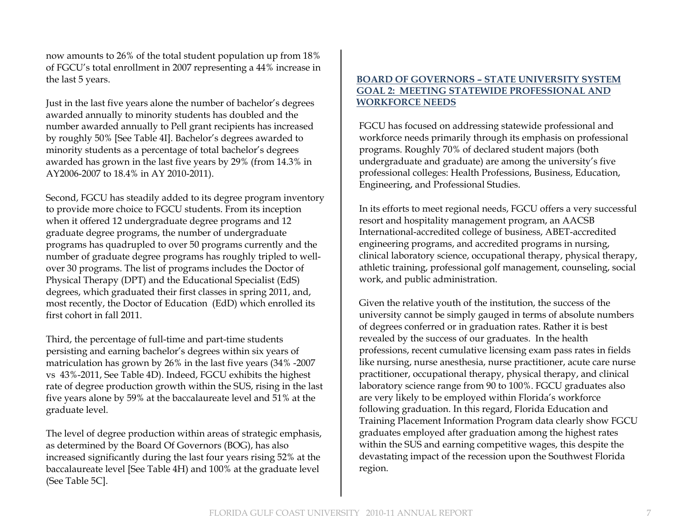now amounts to 26% of the total student population up from 18% of FGCU's total enrollment in 2007 representing a 44% increase in the last 5 years.

Just in the last five years alone the number of bachelor's degrees awarded annually to minority students has doubled and the number awarded annually to Pell grant recipients has increased by roughly 50% [See Table 4I]. Bachelor's degrees awarded to minority students as a percentage of total bachelor's degrees awarded has grown in the last five years by 29% (from 14.3% in AY2006-2007 to 18.4% in AY 2010-2011).

Second, FGCU has steadily added to its degree program inventory to provide more choice to FGCU students. From its inception when it offered 12 undergraduate degree programs and 12 graduate degree programs, the number of undergraduate programs has quadrupled to over 50 programs currently and the number of graduate degree programs has roughly tripled to wellover 30 programs. The list of programs includes the Doctor of Physical Therapy (DPT) and the Educational Specialist (EdS) degrees, which graduated their first classes in spring 2011, and, most recently, the Doctor of Education (EdD) which enrolled its first cohort in fall 2011.

Third, the percentage of full-time and part-time students persisting and earning bachelor's degrees within six years of matriculation has grown by 26% in the last five years (34% -2007 vs 43%-2011, See Table 4D). Indeed, FGCU exhibits the highest rate of degree production growth within the SUS, rising in the last five years alone by 59% at the baccalaureate level and 51% at the graduate level.

The level of degree production within areas of strategic emphasis, as determined by the Board Of Governors (BOG), has also increased significantly during the last four years rising 52% at the baccalaureate level [See Table 4H) and 100% at the graduate level (See Table 5C].

#### **BOARD OF GOVERNORS – STATE UNIVERSITY SYSTEM GOAL 2: MEETING STATEWIDE PROFESSIONAL AND WORKFORCE NEEDS**

FGCU has focused on addressing statewide professional and workforce needs primarily through its emphasis on professional programs. Roughly 70% of declared student majors (both undergraduate and graduate) are among the university's five professional colleges: Health Professions, Business, Education, Engineering, and Professional Studies.

In its efforts to meet regional needs, FGCU offers a very successful resort and hospitality management program, an AACSB International-accredited college of business, ABET-accredited engineering programs, and accredited programs in nursing, clinical laboratory science, occupational therapy, physical therapy, athletic training, professional golf management, counseling, social work, and public administration.

Given the relative youth of the institution, the success of the university cannot be simply gauged in terms of absolute numbers of degrees conferred or in graduation rates. Rather it is best revealed by the success of our graduates. In the health professions, recent cumulative licensing exam pass rates in fields like nursing, nurse anesthesia, nurse practitioner, acute care nurse practitioner, occupational therapy, physical therapy, and clinical laboratory science range from 90 to 100%. FGCU graduates also are very likely to be employed within Florida's workforce following graduation. In this regard, Florida Education and Training Placement Information Program data clearly show FGCU graduates employed after graduation among the highest rates within the SUS and earning competitive wages, this despite the devastating impact of the recession upon the Southwest Florida region.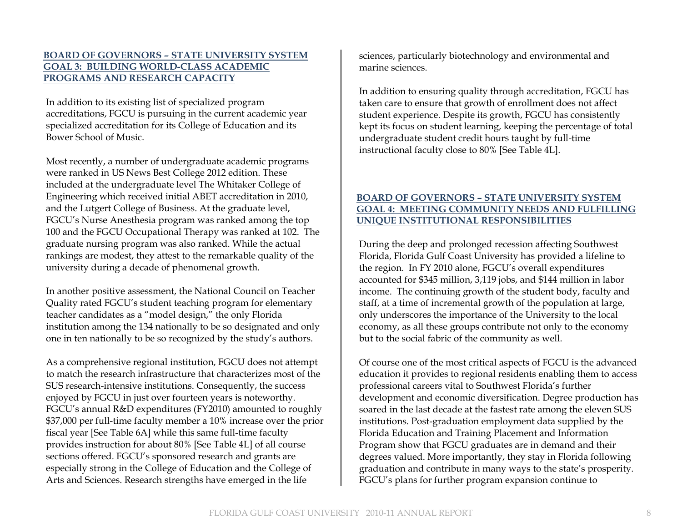#### **BOARD OF GOVERNORS – STATE UNIVERSITY SYSTEM GOAL 3: BUILDING WORLD-CLASS ACADEMIC PROGRAMS AND RESEARCH CAPACITY**

In addition to its existing list of specialized program accreditations, FGCU is pursuing in the current academic year specialized accreditation for its College of Education and its Bower School of Music.

Most recently, a number of undergraduate academic programs were ranked in US News Best College 2012 edition. These included at the undergraduate level The Whitaker College of Engineering which received initial ABET accreditation in 2010, and the Lutgert College of Business. At the graduate level, FGCU's Nurse Anesthesia program was ranked among the top 100 and the FGCU Occupational Therapy was ranked at 102. The graduate nursing program was also ranked. While the actual rankings are modest, they attest to the remarkable quality of the university during a decade of phenomenal growth.

In another positive assessment, the National Council on Teacher Quality rated FGCU's student teaching program for elementary teacher candidates as a "model design," the only Florida institution among the 134 nationally to be so designated and only one in ten nationally to be so recognized by the study's authors.

As a comprehensive regional institution, FGCU does not attempt to match the research infrastructure that characterizes most of the SUS research-intensive institutions. Consequently, the success enjoyed by FGCU in just over fourteen years is noteworthy. FGCU's annual R&D expenditures (FY2010) amounted to roughly \$37,000 per full-time faculty member a 10% increase over the prior fiscal year [See Table 6A] while this same full-time faculty provides instruction for about 80% [See Table 4L] of all course sections offered. FGCU's sponsored research and grants are especially strong in the College of Education and the College of Arts and Sciences. Research strengths have emerged in the life

sciences, particularly biotechnology and environmental and marine sciences.

In addition to ensuring quality through accreditation, FGCU has taken care to ensure that growth of enrollment does not affect student experience. Despite its growth, FGCU has consistently kept its focus on student learning, keeping the percentage of total undergraduate student credit hours taught by full-time instructional faculty close to 80% [See Table 4L].

#### **BOARD OF GOVERNORS – STATE UNIVERSITY SYSTEM GOAL 4: MEETING COMMUNITY NEEDS AND FULFILLING UNIQUE INSTITUTIONAL RESPONSIBILITIES**

During the deep and prolonged recession affecting Southwest Florida, Florida Gulf Coast University has provided a lifeline to the region. In FY 2010 alone, FGCU's overall expenditures accounted for \$345 million, 3,119 jobs, and \$144 million in labor income. The continuing growth of the student body, faculty and staff, at a time of incremental growth of the population at large, only underscores the importance of the University to the local economy, as all these groups contribute not only to the economy but to the social fabric of the community as well.

Of course one of the most critical aspects of FGCU is the advanced education it provides to regional residents enabling them to access professional careers vital to Southwest Florida's further development and economic diversification. Degree production has soared in the last decade at the fastest rate among the eleven SUS institutions. Post-graduation employment data supplied by the Florida Education and Training Placement and Information Program show that FGCU graduates are in demand and their degrees valued. More importantly, they stay in Florida following graduation and contribute in many ways to the state's prosperity. FGCU's plans for further program expansion continue to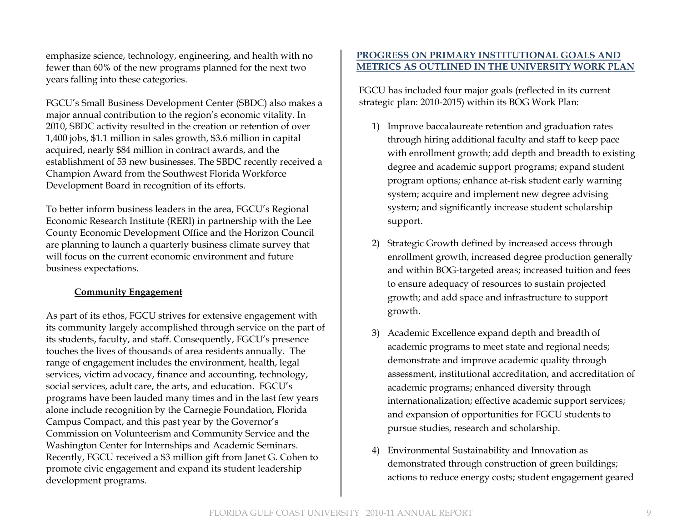emphasize science, technology, engineering, and health with no fewer than 60% of the new programs planned for the next two years falling into these categories.

FGCU's Small Business Development Center (SBDC) also makes a major annual contribution to the region's economic vitality. In 2010, SBDC activity resulted in the creation or retention of over 1,400 jobs, \$1.1 million in sales growth, \$3.6 million in capital acquired, nearly \$84 million in contract awards, and the establishment of 53 new businesses. The SBDC recently received a Champion Award from the Southwest Florida Workforce Development Board in recognition of its efforts.

To better inform business leaders in the area, FGCU's Regional Economic Research Institute (RERI) in partnership with the Lee County Economic Development Office and the Horizon Council are planning to launch a quarterly business climate survey that will focus on the current economic environment and future business expectations.

#### **Community Engagement**

As part of its ethos, FGCU strives for extensive engagement with its community largely accomplished through service on the part of its students, faculty, and staff. Consequently, FGCU's presence touches the lives of thousands of area residents annually. The range of engagement includes the environment, health, legal services, victim advocacy, finance and accounting, technology, social services, adult care, the arts, and education. FGCU's programs have been lauded many times and in the last few years alone include recognition by the Carnegie Foundation, Florida Campus Compact, and this past year by the Governor's Commission on Volunteerism and Community Service and the Washington Center for Internships and Academic Seminars. Recently, FGCU received a \$3 million gift from Janet G. Cohen to promote civic engagement and expand its student leadership development programs.

#### **PROGRESS ON PRIMARY INSTITUTIONAL GOALS AND METRICS AS OUTLINED IN THE UNIVERSITY WORK PLAN**

FGCU has included four major goals (reflected in its current strategic plan: 2010-2015) within its BOG Work Plan:

- 1) Improve baccalaureate retention and graduation rates through hiring additional faculty and staff to keep pace with enrollment growth; add depth and breadth to existing degree and academic support programs; expand student program options; enhance at-risk student early warning system; acquire and implement new degree advising system; and significantly increase student scholarship support.
- Strategic Growth defined by increased access through enrollment growth, increased degree production generally and within BOG-targeted areas; increased tuition and fees to ensure adequacy of resources to sustain projected growth; and add space and infrastructure to support growth.
- 3) Academic Excellence expand depth and breadth of academic programs to meet state and regional needs; demonstrate and improve academic quality through assessment, institutional accreditation, and accreditation of academic programs; enhanced diversity through internationalization; effective academic support services; and expansion of opportunities for FGCU students to pursue studies, research and scholarship.
- 4) Environmental Sustainability and Innovation as demonstrated through construction of green buildings; actions to reduce energy costs; student engagement geared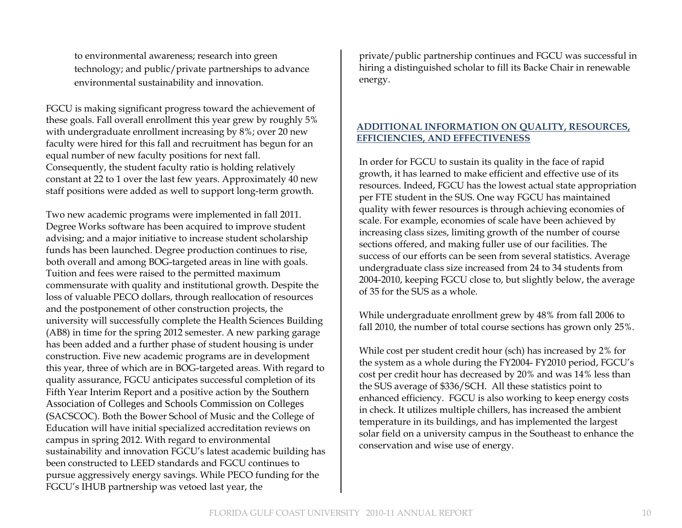to environmental awareness; research into green technology; and public/private partnerships to advance environmental sustainability and innovation.

FGCU is making significant progress toward the achievement of these goals. Fall overall enrollment this year grew by roughly 5% with undergraduate enrollment increasing by 8%; over 20 new faculty were hired for this fall and recruitment has begun for an equal number of new faculty positions for next fall. Consequently, the student faculty ratio is holding relatively constant at 22 to 1 over the last few years. Approximately 40 new staff positions were added as well to support long-term growth.

Two new academic programs were implemented in fall 2011. Degree Works software has been acquired to improve student advising; and a major initiative to increase student scholarship funds has been launched. Degree production continues to rise, both overall and among BOG-targeted areas in line with goals. Tuition and fees were raised to the permitted maximum commensurate with quality and institutional growth. Despite the loss of valuable PECO dollars, through reallocation of resources and the postponement of other construction projects, the university will successfully complete the Health Sciences Building (AB8) in time for the spring 2012 semester. A new parking garage has been added and a further phase of student housing is under construction. Five new academic programs are in development this year, three of which are in BOG-targeted areas. With regard to quality assurance, FGCU anticipates successful completion of its Fifth Year Interim Report and a positive action by the Southern Association of Colleges and Schools Commission on Colleges (SACSCOC). Both the Bower School of Music and the College of Education will have initial specialized accreditation reviews on campus in spring 2012. With regard to environmental sustainability and innovation FGCU's latest academic building has been constructed to LEED standards and FGCU continues to pursue aggressively energy savings. While PECO funding for the FGCU's IHUB partnership was vetoed last year, the

private/public partnership continues and FGCU was successful in hiring a distinguished scholar to fill its Backe Chair in renewable energy.

#### **ADDITIONAL INFORMATION ON QUALITY, RESOURCES, EFFICIENCIES, AND EFFECTIVENESS**

In order for FGCU to sustain its quality in the face of rapid growth, it has learned to make efficient and effective use of its resources. Indeed, FGCU has the lowest actual state appropriation per FTE student in the SUS. One way FGCU has maintained quality with fewer resources is through achieving economies of scale. For example, economies of scale have been achieved by increasing class sizes, limiting growth of the number of course sections offered, and making fuller use of our facilities. The success of our efforts can be seen from several statistics. Average undergraduate class size increased from 24 to 34 students from 2004-2010, keeping FGCU close to, but slightly below, the average of 35 for the SUS as a whole.

While undergraduate enrollment grew by 48% from fall 2006 to fall 2010, the number of total course sections has grown only 25%.

While cost per student credit hour (sch) has increased by 2% for the system as a whole during the FY2004- FY2010 period, FGCU's cost per credit hour has decreased by 20% and was 14% less than the SUS average of \$336/SCH. All these statistics point to enhanced efficiency. FGCU is also working to keep energy costs in check. It utilizes multiple chillers, has increased the ambient temperature in its buildings, and has implemented the largest solar field on a university campus in the Southeast to enhance the conservation and wise use of energy.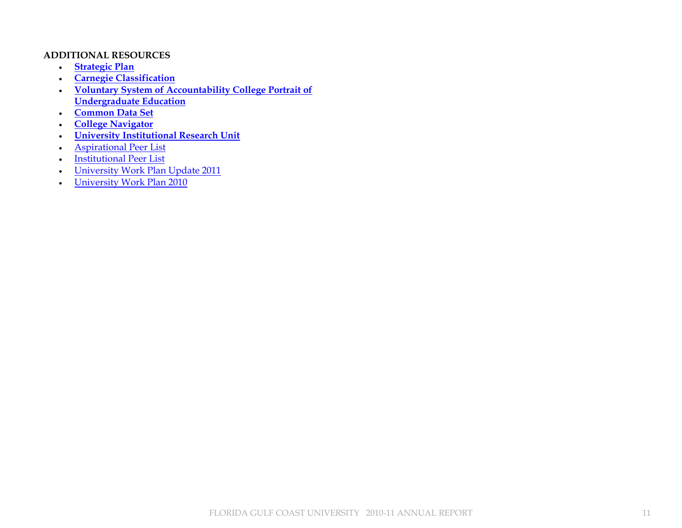#### **ADDITIONAL RESOURCES**

- **Strategic Plan**
- $\bullet$ **Carnegie Classification**
- **Voluntary System of Accountability College Portrait of Undergraduate Education**
- $\bullet$ **Common Data Set**
- $\bullet$ **College Navigator**
- $\bullet$ **University Institutional Research Unit**
- $\bullet$ Aspirational Peer List
- $\bullet$ Institutional Peer List
- $\bullet$ University Work Plan Update 2011
- $\bullet$ University Work Plan 2010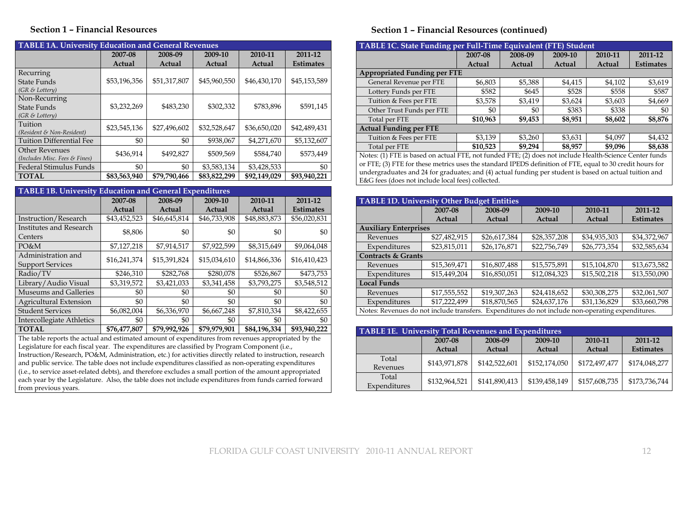#### **Section 1 – Financial Resources**

| <b>TABLE 1A. University Education and General Revenues</b> |              |              |              |              |                  |  |  |  |
|------------------------------------------------------------|--------------|--------------|--------------|--------------|------------------|--|--|--|
|                                                            | 2007-08      | 2008-09      | 2009-10      | 2010-11      | 2011-12          |  |  |  |
|                                                            | Actual       | Actual       | Actual       | Actual       | <b>Estimates</b> |  |  |  |
| Recurring                                                  |              |              |              |              |                  |  |  |  |
| State Funds                                                | \$53,196,356 | \$51,317,807 | \$45,960,550 | \$46,430,170 | \$45,153,589     |  |  |  |
| $(GR \& Lottery)$                                          |              |              |              |              |                  |  |  |  |
| Non-Recurring                                              |              |              |              |              |                  |  |  |  |
| State Funds                                                | \$3,232,269  | \$483,230    | \$302,332    | \$783,896    | \$591,145        |  |  |  |
| $(GR \& Lottery)$                                          |              |              |              |              |                  |  |  |  |
| Tuition                                                    | \$23,545,136 | \$27,496,602 | \$32,528,647 | \$36,650,020 | \$42,489,431     |  |  |  |
| (Resident & Non-Resident)                                  |              |              |              |              |                  |  |  |  |
| <b>Tuition Differential Fee</b>                            | \$0          | \$0          | \$938,067    | \$4,271,670  | \$5,132,607      |  |  |  |
| <b>Other Revenues</b>                                      | \$436,914    | \$492,827    | \$509,569    | \$584,740    | \$573,449        |  |  |  |
| (Includes Misc. Fees & Fines)                              |              |              |              |              |                  |  |  |  |
| Federal Stimulus Funds                                     | \$0          | \$0          | \$3,583,134  | \$3,428,533  | \$0              |  |  |  |
| <b>TOTAL</b>                                               | \$83.563.940 | \$79.790.466 | \$83,822,299 | \$92.149.029 | \$93,940,221     |  |  |  |

| <b>TABLE 1B. University Education and General Expenditures</b> |              |              |              |              |                  |  |  |  |
|----------------------------------------------------------------|--------------|--------------|--------------|--------------|------------------|--|--|--|
|                                                                | 2007-08      | 2008-09      | 2009-10      | 2010-11      | 2011-12          |  |  |  |
|                                                                | Actual       | Actual       | Actual       | Actual       | <b>Estimates</b> |  |  |  |
| Instruction/Research                                           | \$43,452,523 | \$46,645,814 | \$46,733,908 | \$48,883,873 | \$56,020,831     |  |  |  |
| Institutes and Research                                        | \$8,806      | \$0          | \$0          | \$0          | \$0              |  |  |  |
| Centers                                                        |              |              |              |              |                  |  |  |  |
| PO&M                                                           | \$7,127,218  | \$7,914,517  | \$7,922,599  | \$8,315,649  | \$9,064,048      |  |  |  |
| Administration and                                             | \$16,241,374 |              | \$15,034,610 | \$14,866,336 | \$16,410,423     |  |  |  |
| <b>Support Services</b>                                        |              | \$15,391,824 |              |              |                  |  |  |  |
| Radio/TV                                                       | \$246,310    | \$282.768    | \$280.078    | \$526,867    | \$473.753        |  |  |  |
| Library/Audio Visual                                           | \$3,319,572  | \$3,421,033  | \$3,341,458  | \$3,793,275  | \$3,548,512      |  |  |  |
| <b>Museums and Galleries</b>                                   | \$0          | \$0          | \$0          | \$0          | \$0              |  |  |  |
| <b>Agricultural Extension</b>                                  | \$0          | \$0          | \$0          | \$0          | \$0              |  |  |  |
| <b>Student Services</b>                                        | \$6,082,004  | \$6,336,970  | \$6,667,248  | \$7,810,334  | \$8,422,655      |  |  |  |
| Intercollegiate Athletics                                      | \$0          | \$0          | \$0          | \$0          | \$0              |  |  |  |
| <b>TOTAL</b>                                                   | \$76,477,807 | \$79.992.926 | \$79,979,901 | \$84,196,334 | \$93,940,222     |  |  |  |

The table reports the actual and estimated amount of expenditures from revenues appropriated by the Legislature for each fiscal year. The expenditures are classified by Program Component (i.e., Instruction/Research, PO&M, Administration, etc.) for activities directly related to instruction, research and public service. The table does not include expenditures classified as non-operating expenditures (i.e., to service asset-related debts), and therefore excludes a small portion of the amount appropriated each year by the Legislature. Also, the table does not include expenditures from funds carried forward from previous years.

#### **Section 1 – Financial Resources (continued)**

| TABLE 1C. State Funding per Full-Time Equivalent (FTE) Student                                          |          |         |         |         |                  |  |  |
|---------------------------------------------------------------------------------------------------------|----------|---------|---------|---------|------------------|--|--|
|                                                                                                         | 2007-08  | 2008-09 | 2009-10 | 2010-11 | 2011-12          |  |  |
|                                                                                                         | Actual   | Actual  | Actual  | Actual  | <b>Estimates</b> |  |  |
| <b>Appropriated Funding per FTE</b>                                                                     |          |         |         |         |                  |  |  |
| General Revenue per FTE                                                                                 | \$6,803  | \$5,388 | \$4,415 | \$4,102 | \$3,619          |  |  |
| Lottery Funds per FTE                                                                                   | \$582    | \$645   | \$528   | \$558   | \$587            |  |  |
| Tuition & Fees per FTE                                                                                  | \$3,578  | \$3,419 | \$3,624 | \$3,603 | \$4,669          |  |  |
| Other Trust Funds per FTE                                                                               | \$0      | \$0     | \$383   | \$338   | \$0              |  |  |
| Total per FTE                                                                                           | \$10,963 | \$9,453 | \$8,951 | \$8,602 | \$8,876          |  |  |
| <b>Actual Funding per FTE</b>                                                                           |          |         |         |         |                  |  |  |
| Tuition & Fees per FTE                                                                                  | \$3,139  | \$3,260 | \$3,631 | \$4,097 | \$4,432          |  |  |
| Total per FTE                                                                                           | \$10,523 | \$9.294 | \$8,957 | \$9,096 | \$8,638          |  |  |
| Notes: (1) FTE is based on actual FTE, not funded FTE; (2) does not include Health-Science Center funds |          |         |         |         |                  |  |  |

Notes: (1) FTE is based on actual FTE, not funded FTE; (2) does not include Health-Science Center funds or FTE; (3) FTE for these metrics uses the standard IPEDS definition of FTE, equal to 30 credit hours for undergraduates and 24 for graduates; and (4) actual funding per student is based on actual tuition and E&G fees (does not include local fees) collected.

| <b>TABLE 1D. University Other Budget Entities</b> |                              |              |                                                         |              |                  |  |  |  |  |
|---------------------------------------------------|------------------------------|--------------|---------------------------------------------------------|--------------|------------------|--|--|--|--|
|                                                   | 2007-08                      | 2008-09      | 2009-10                                                 | 2010-11      | 2011-12          |  |  |  |  |
|                                                   | Actual                       | Actual       | Actual                                                  | Actual       | <b>Estimates</b> |  |  |  |  |
|                                                   | <b>Auxiliary Enterprises</b> |              |                                                         |              |                  |  |  |  |  |
| Revenues                                          | \$27,482,915                 | \$26,617,384 | \$28,357,208                                            | \$34,935,303 | \$34,372,967     |  |  |  |  |
| Expenditures                                      | \$23,815,011                 | \$26,176,871 | \$22,756,749                                            | \$26,773,354 | \$32,585,634     |  |  |  |  |
| <b>Contracts &amp; Grants</b>                     |                              |              |                                                         |              |                  |  |  |  |  |
| Revenues                                          | \$15,369,471                 | \$16,807,488 | \$15,575,891                                            | \$15,104,870 | \$13,673,582     |  |  |  |  |
| Expenditures                                      | \$15,449,204                 | \$16,850,051 | \$12,084,323                                            | \$15,502,218 | \$13,550,090     |  |  |  |  |
| <b>Local Funds</b>                                |                              |              |                                                         |              |                  |  |  |  |  |
| Revenues                                          | \$17,555,552                 | \$19,307,263 | \$24,418,652                                            | \$30,308,275 | \$32,061,507     |  |  |  |  |
| Expenditures                                      | \$17,222,499                 | \$18,870,565 | \$24,637,176                                            | \$31,136,829 | \$33,660,798     |  |  |  |  |
| Notes: Revenues do not include transfers.         |                              |              | Expenditures do not include non-operating expenditures. |              |                  |  |  |  |  |

| <b>TABLE 1E. University Total Revenues and Expenditures</b> |               |               |               |               |                  |  |  |  |  |
|-------------------------------------------------------------|---------------|---------------|---------------|---------------|------------------|--|--|--|--|
|                                                             | 2007-08       | 2008-09       | 2009-10       | 2010-11       | 2011-12          |  |  |  |  |
|                                                             | Actual        | Actual        | Actual        | Actual        | <b>Estimates</b> |  |  |  |  |
| Total                                                       | \$143,971,878 | \$142,522,601 | \$152,174,050 | \$172,497,477 | \$174,048,277    |  |  |  |  |
| Revenues                                                    |               |               |               |               |                  |  |  |  |  |
| Total                                                       | \$132,964,521 | \$141,890,413 | \$139,458,149 | \$157,608,735 | \$173,736,744    |  |  |  |  |
| Expenditures                                                |               |               |               |               |                  |  |  |  |  |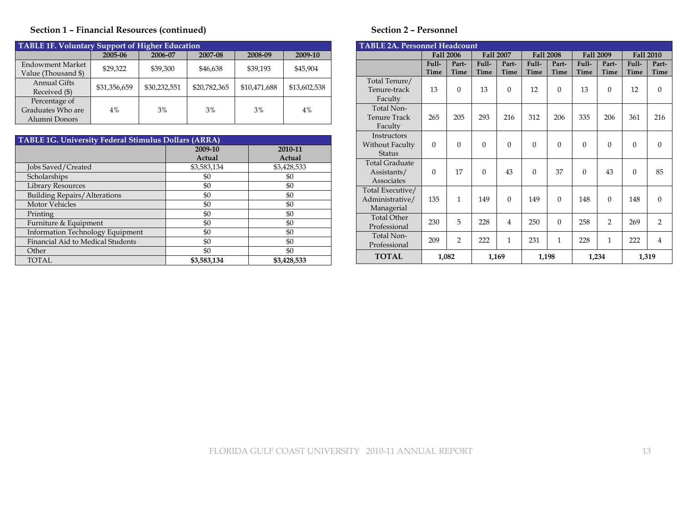#### **Section 1 – Financial Resources (continued)**

| TABLE 1F. Voluntary Support of Higher Education |              |              |              |              |              |  |  |  |  |
|-------------------------------------------------|--------------|--------------|--------------|--------------|--------------|--|--|--|--|
|                                                 | 2005-06      | 2006-07      | 2007-08      | 2008-09      | 2009-10      |  |  |  |  |
| <b>Endowment Market</b>                         | \$29,322     | \$39,300     | \$46,638     | \$39,193     | \$45,904     |  |  |  |  |
| Value (Thousand \$)                             |              |              |              |              |              |  |  |  |  |
| Annual Gifts                                    |              |              |              |              |              |  |  |  |  |
| Received (\$)                                   | \$31,356,659 | \$30,232,551 | \$20,782,365 | \$10,471,688 | \$13,602,538 |  |  |  |  |
| Percentage of                                   |              |              |              |              |              |  |  |  |  |
| Graduates Who are                               | 4%           | 3%           | 3%           | 3%           | 4%           |  |  |  |  |
| Alumni Donors                                   |              |              |              |              |              |  |  |  |  |

| TABLE 1G. University Federal Stimulus Dollars (ARRA) |             |             |  |  |  |  |  |
|------------------------------------------------------|-------------|-------------|--|--|--|--|--|
|                                                      | 2009-10     | 2010-11     |  |  |  |  |  |
|                                                      | Actual      | Actual      |  |  |  |  |  |
| Jobs Saved/Created                                   | \$3,583,134 | \$3,428,533 |  |  |  |  |  |
| Scholarships                                         | \$0         | \$0         |  |  |  |  |  |
| Library Resources                                    | \$0         | \$0         |  |  |  |  |  |
| <b>Building Repairs/Alterations</b>                  | \$0         | \$0         |  |  |  |  |  |
| <b>Motor Vehicles</b>                                | \$0         | \$0         |  |  |  |  |  |
| Printing                                             | \$0         | \$0         |  |  |  |  |  |
| Furniture & Equipment                                | \$0         | \$0         |  |  |  |  |  |
| <b>Information Technology Equipment</b>              | \$0         | \$0         |  |  |  |  |  |
| Financial Aid to Medical Students                    | \$0         | \$0         |  |  |  |  |  |
| Other                                                | \$0         | \$0         |  |  |  |  |  |
| <b>TOTAL</b>                                         | \$3,583,134 | \$3,428,533 |  |  |  |  |  |

#### **Section 2 – Personnel**

| <b>TABLE 2A. Personnel Headcount</b> |          |                  |          |                  |                  |              |          |                  |             |                  |
|--------------------------------------|----------|------------------|----------|------------------|------------------|--------------|----------|------------------|-------------|------------------|
|                                      |          | <b>Fall 2006</b> |          | <b>Fall 2007</b> | <b>Fall 2008</b> |              |          | <b>Fall 2009</b> |             | <b>Fall 2010</b> |
|                                      | Full-    | Part-            | Full-    | Part-            | Full-            | Part-        | Full-    | Part-            | Full-       | Part-            |
|                                      | Time     | Time             | Time     | Time             | Time             | <b>Time</b>  | Time     | Time             | <b>Time</b> | <b>Time</b>      |
| Total Tenure/                        |          |                  |          |                  |                  |              |          |                  |             |                  |
| Tenure-track                         | 13       | $\theta$         | 13       | $\theta$         | 12               | $\Omega$     | 13       | $\Omega$         | 12          | $\overline{0}$   |
| Faculty                              |          |                  |          |                  |                  |              |          |                  |             |                  |
| Total Non-                           |          |                  |          |                  |                  |              |          |                  |             |                  |
| <b>Tenure Track</b>                  | 265      | 205              | 293      | 216              | 312              | 206          | 335      | 206              | 361         | 216              |
| Faculty                              |          |                  |          |                  |                  |              |          |                  |             |                  |
| Instructors                          |          |                  |          |                  |                  |              |          |                  |             |                  |
| Without Faculty                      | $\theta$ | $\theta$         | $\theta$ | $\theta$         | $\theta$         | $\Omega$     | $\Omega$ | $\Omega$         | $\Omega$    | $\overline{0}$   |
| <b>Status</b>                        |          |                  |          |                  |                  |              |          |                  |             |                  |
| <b>Total Graduate</b>                |          |                  |          |                  |                  |              |          |                  |             |                  |
| Assistants/                          | $\Omega$ | 17               | $\Omega$ | 43               | $\Omega$         | 37           | $\Omega$ | 43               | $\Omega$    | 85               |
| Associates                           |          |                  |          |                  |                  |              |          |                  |             |                  |
| Total Executive/                     |          |                  |          |                  |                  |              |          |                  |             |                  |
| Administrative/                      | 135      | $\mathbf{1}$     | 149      | $\Omega$         | 149              | $\Omega$     | 148      | $\Omega$         | 148         | $\overline{0}$   |
| Managerial                           |          |                  |          |                  |                  |              |          |                  |             |                  |
| <b>Total Other</b>                   | 230      | 5                | 228      | $\overline{4}$   | 250              | $\Omega$     |          | $\overline{2}$   | 269         | $\overline{2}$   |
| Professional                         |          |                  |          |                  |                  |              | 258      |                  |             |                  |
| Total Non-                           | 209      | $\overline{2}$   | 222      | 1                | 231              | $\mathbf{1}$ | 228      | $\mathbf{1}$     | 222         | $\overline{4}$   |
| Professional                         |          |                  |          |                  |                  |              |          |                  |             |                  |
| <b>TOTAL</b>                         |          | 1,082            |          | 1,169            |                  | 1,198        |          | 1,234            |             | 1,319            |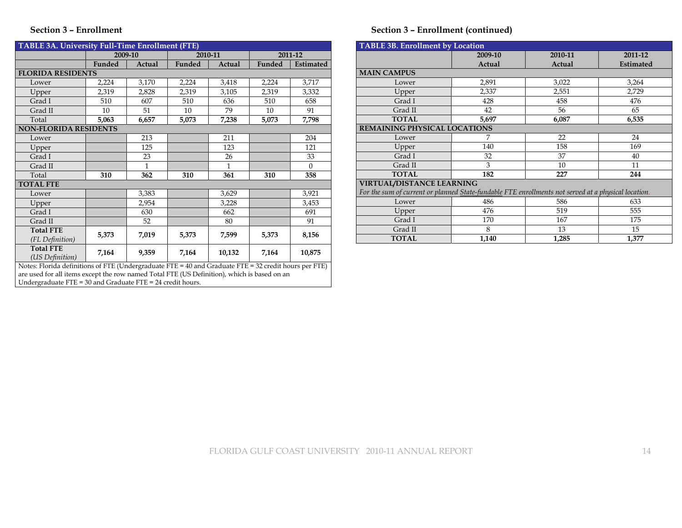#### **Section 3 – Enrollment**

| TABLE 3A. University Full-Time Enrollment (FTE)                                             |                                                                                                       |              |         |              |        |           |  |  |  |  |
|---------------------------------------------------------------------------------------------|-------------------------------------------------------------------------------------------------------|--------------|---------|--------------|--------|-----------|--|--|--|--|
|                                                                                             | 2009-10                                                                                               |              | 2010-11 |              |        | 2011-12   |  |  |  |  |
|                                                                                             | Funded                                                                                                | Actual       | Funded  | Actual       | Funded | Estimated |  |  |  |  |
|                                                                                             | <b>FLORIDA RESIDENTS</b>                                                                              |              |         |              |        |           |  |  |  |  |
| Lower                                                                                       | 2,224                                                                                                 | 3,170        | 2,224   | 3,418        | 2,224  | 3,717     |  |  |  |  |
| Upper                                                                                       | 2,319                                                                                                 | 2,828        | 2,319   | 3,105        | 2,319  | 3,332     |  |  |  |  |
| Grad I                                                                                      | 510                                                                                                   | 607          | 510     | 636          | 510    | 658       |  |  |  |  |
| Grad II                                                                                     | 10                                                                                                    | 51           | 10      | 79           | 10     | 91        |  |  |  |  |
| Total                                                                                       | 5,063                                                                                                 | 6,657        | 5,073   | 7,238        | 5,073  | 7,798     |  |  |  |  |
| <b>NON-FLORIDA RESIDENTS</b>                                                                |                                                                                                       |              |         |              |        |           |  |  |  |  |
| Lower                                                                                       |                                                                                                       | 213          |         | 211          |        | 204       |  |  |  |  |
| Upper                                                                                       |                                                                                                       | 125          |         | 123          |        | 121       |  |  |  |  |
| Grad I                                                                                      |                                                                                                       | 23           |         | 26           |        | 33        |  |  |  |  |
| Grad II                                                                                     |                                                                                                       | $\mathbf{1}$ |         | $\mathbf{1}$ |        | $\Omega$  |  |  |  |  |
| Total                                                                                       | 310                                                                                                   | 362          | 310     | 361          | 310    | 358       |  |  |  |  |
| <b>TOTAL FTE</b>                                                                            |                                                                                                       |              |         |              |        |           |  |  |  |  |
| Lower                                                                                       |                                                                                                       | 3,383        |         | 3,629        |        | 3,921     |  |  |  |  |
| Upper                                                                                       |                                                                                                       | 2,954        |         | 3,228        |        | 3,453     |  |  |  |  |
| Grad I                                                                                      |                                                                                                       | 630          |         | 662          |        | 691       |  |  |  |  |
| Grad II                                                                                     |                                                                                                       | 52           |         | 80           |        | 91        |  |  |  |  |
| <b>Total FTE</b>                                                                            | 5,373                                                                                                 | 7,019        | 5,373   | 7,599        | 5,373  | 8,156     |  |  |  |  |
| (FL Definition)                                                                             |                                                                                                       |              |         |              |        |           |  |  |  |  |
| <b>Total FTE</b>                                                                            | 7,164                                                                                                 | 9,359        | 7,164   | 10,132       | 7,164  | 10,875    |  |  |  |  |
| (US Definition)                                                                             |                                                                                                       |              |         |              |        |           |  |  |  |  |
|                                                                                             | Notes: Florida definitions of FTE (Undergraduate FTE = 40 and Graduate FTE = 32 credit hours per FTE) |              |         |              |        |           |  |  |  |  |
| are used for all items except the row named Total FTE (US Definition), which is based on an |                                                                                                       |              |         |              |        |           |  |  |  |  |

Undergraduate FTE = 30 and Graduate FTE = 24 credit hours.

#### **Section 3 – Enrollment (continued)**

| <b>TABLE 3B. Enrollment by Location</b>                                                             |               |         |           |  |  |  |  |  |
|-----------------------------------------------------------------------------------------------------|---------------|---------|-----------|--|--|--|--|--|
|                                                                                                     | 2009-10       | 2010-11 | 2011-12   |  |  |  |  |  |
|                                                                                                     | <b>Actual</b> | Actual  | Estimated |  |  |  |  |  |
| <b>MAIN CAMPUS</b>                                                                                  |               |         |           |  |  |  |  |  |
| Lower                                                                                               | 2,891         | 3,022   | 3,264     |  |  |  |  |  |
| Upper                                                                                               | 2,337         | 2,551   | 2,729     |  |  |  |  |  |
| Grad I                                                                                              | 428           | 458     | 476       |  |  |  |  |  |
| Grad II                                                                                             | 42            | 56      | 65        |  |  |  |  |  |
| <b>TOTAL</b>                                                                                        | 5.697         | 6,087   | 6,535     |  |  |  |  |  |
| REMAINING PHYSICAL LOCATIONS                                                                        |               |         |           |  |  |  |  |  |
| Lower                                                                                               | 7             | 22      | 24        |  |  |  |  |  |
| Upper                                                                                               | 140           | 158     | 169       |  |  |  |  |  |
| Grad I                                                                                              | 32            | 37      | 40        |  |  |  |  |  |
| Grad II                                                                                             | 3             | 10      | 11        |  |  |  |  |  |
| <b>TOTAL</b>                                                                                        | 182           | 227     | 244       |  |  |  |  |  |
| <b>VIRTUAL/DISTANCE LEARNING</b>                                                                    |               |         |           |  |  |  |  |  |
| For the sum of current or planned State-fundable FTE enrollments not served at a physical location. |               |         |           |  |  |  |  |  |
| Lower                                                                                               | 486           | 586     | 633       |  |  |  |  |  |
| Upper                                                                                               | 476           | 519     | 555       |  |  |  |  |  |
| Grad I                                                                                              | 170           | 167     | 175       |  |  |  |  |  |
| Grad II                                                                                             | 8             | 13      | 15        |  |  |  |  |  |
| <b>TOTAL</b>                                                                                        | 1,140         | 1,285   | 1,377     |  |  |  |  |  |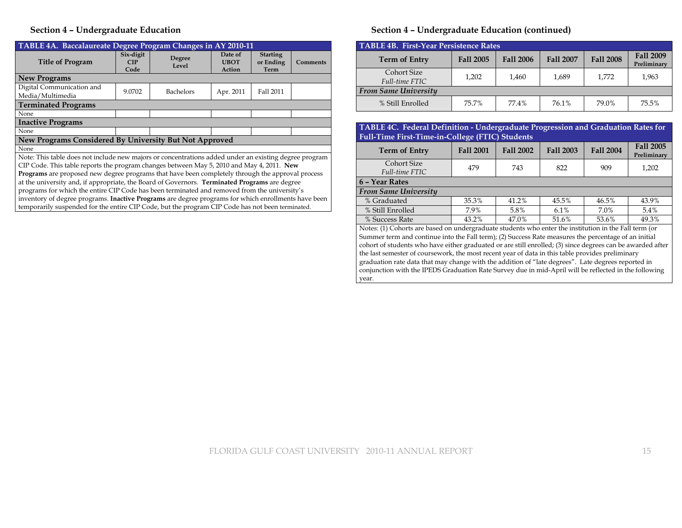#### **Section 4 – Undergraduate Education**

|                                                                                                                                                                                                    | TABLE 4A. Baccalaureate Degree Program Changes in AY 2010-11 |                  |                                  |                                      |                 |  |  |  |
|----------------------------------------------------------------------------------------------------------------------------------------------------------------------------------------------------|--------------------------------------------------------------|------------------|----------------------------------|--------------------------------------|-----------------|--|--|--|
| <b>Title of Program</b>                                                                                                                                                                            | Six-digit<br>CIP<br>Code                                     | Degree<br>Level  | Date of<br><b>UBOT</b><br>Action | <b>Starting</b><br>or Ending<br>Term | <b>Comments</b> |  |  |  |
| <b>New Programs</b>                                                                                                                                                                                |                                                              |                  |                                  |                                      |                 |  |  |  |
| Digital Communication and<br>Media/Multimedia                                                                                                                                                      | 9.0702                                                       | <b>Bachelors</b> | Apr. 2011                        | Fall 2011                            |                 |  |  |  |
| <b>Terminated Programs</b>                                                                                                                                                                         |                                                              |                  |                                  |                                      |                 |  |  |  |
| None                                                                                                                                                                                               |                                                              |                  |                                  |                                      |                 |  |  |  |
| <b>Inactive Programs</b>                                                                                                                                                                           |                                                              |                  |                                  |                                      |                 |  |  |  |
| None                                                                                                                                                                                               |                                                              |                  |                                  |                                      |                 |  |  |  |
| New Programs Considered By University But Not Approved                                                                                                                                             |                                                              |                  |                                  |                                      |                 |  |  |  |
| None                                                                                                                                                                                               |                                                              |                  |                                  |                                      |                 |  |  |  |
| Note: This table does not include new majors or concentrations added under an existing degree program<br>CIP Code. This table reports the program changes between May 5, 2010 and May 4, 2011. New |                                                              |                  |                                  |                                      |                 |  |  |  |
| Programs are proposed new degree programs that have been completely through the approval process                                                                                                   |                                                              |                  |                                  |                                      |                 |  |  |  |
| at the university and, if appropriate, the Board of Governors. <b>Terminated Programs</b> are degree                                                                                               |                                                              |                  |                                  |                                      |                 |  |  |  |
| programs for which the entire CIP Code has been terminated and removed from the university's                                                                                                       |                                                              |                  |                                  |                                      |                 |  |  |  |
| inventory of degree programs. <b>Inactive Programs</b> are degree programs for which enrollments have been                                                                                         |                                                              |                  |                                  |                                      |                 |  |  |  |
| temporarily suspended for the entire CIP Code, but the program CIP Code has not been terminated.                                                                                                   |                                                              |                  |                                  |                                      |                 |  |  |  |

#### **Section 4 – Undergraduate Education (continued)**

| <b>TABLE 4B. First-Year Persistence Rates</b> |                  |           |                  |                  |                                 |  |  |  |  |
|-----------------------------------------------|------------------|-----------|------------------|------------------|---------------------------------|--|--|--|--|
| <b>Term of Entry</b>                          | <b>Fall 2005</b> | Fall 2006 | <b>Fall 2007</b> | <b>Fall 2008</b> | <b>Fall 2009</b><br>Preliminary |  |  |  |  |
| Cohort Size<br><b>Full-time FTIC</b>          | 1,202            | 1.460     | 1.689            | 1.772            | 1.963                           |  |  |  |  |
| <b>From Same University</b>                   |                  |           |                  |                  |                                 |  |  |  |  |
| % Still Enrolled                              | 75.7%            | 77.4%     | 76.1%            | 79.0%            | 75.5%                           |  |  |  |  |

#### **TABLE 4C. Federal Definition - Undergraduate Progression and Graduation Rates for Full-Time First-Time-in-College (FTIC) Students**

| <b>Term of Entry</b>                                                                                  | <b>Fall 2001</b> | <b>Fall 2002</b> | <b>Fall 2003</b> | <b>Fall 2004</b> | <b>Fall 2005</b><br>Preliminary |  |  |
|-------------------------------------------------------------------------------------------------------|------------------|------------------|------------------|------------------|---------------------------------|--|--|
| Cohort Size                                                                                           | 479              | 743              | 822              | 909              | 1,202                           |  |  |
| <b>Full-time FTIC</b>                                                                                 |                  |                  |                  |                  |                                 |  |  |
| 6 - Year Rates                                                                                        |                  |                  |                  |                  |                                 |  |  |
| <b>From Same University</b>                                                                           |                  |                  |                  |                  |                                 |  |  |
| % Graduated                                                                                           | 35.3%            | 41.2%            | 45.5%            | 46.5%            | 43.9%                           |  |  |
| % Still Enrolled                                                                                      | 7.9%             | 5.8%             | $6.1\%$          | 7.0%             | 5.4%                            |  |  |
| % Success Rate                                                                                        | 43.2%            | 47.0%            | 51.6%            | 53.6%            | 49.3%                           |  |  |
| Notes: (1) Cohorts are based on undergraduate students who enter the institution in the Fall term (or |                  |                  |                  |                  |                                 |  |  |
| Summer term and continue into the Eall term): (2) Success Rate measures the percentage of an initial  |                  |                  |                  |                  |                                 |  |  |

Summer term and continue into the Fall term); (2) Success Rate measures the percentage of an initial cohort of students who have either graduated or are still enrolled; (3) since degrees can be awarded after the last semester of coursework, the most recent year of data in this table provides preliminary graduation rate data that may change with the addition of "late degrees". Late degrees reported in conjunction with the IPEDS Graduation Rate Survey due in mid-April will be reflected in the following year.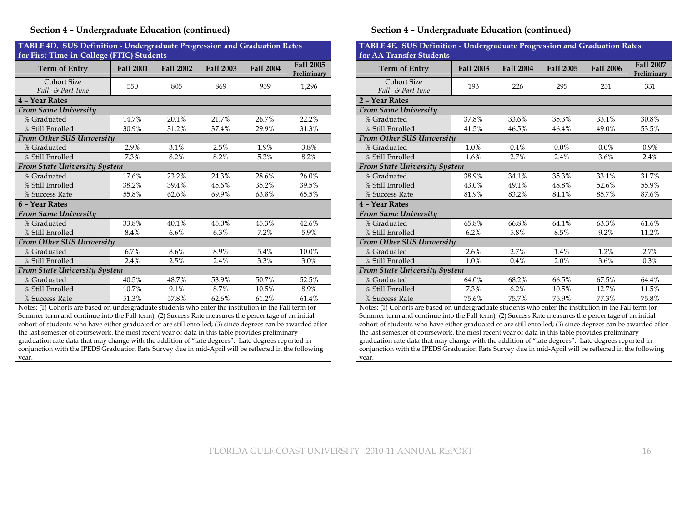#### **Section 4 – Undergraduate Education (continued)**

year.

| TABLE 4D. SUS Definition - Undergraduate Progression and Graduation Rates<br>for First-Time-in-College (FTIC) Students |           |                  |                  |                  |                                 |  |  |  |  |  |
|------------------------------------------------------------------------------------------------------------------------|-----------|------------------|------------------|------------------|---------------------------------|--|--|--|--|--|
| <b>Term of Entry</b>                                                                                                   | Fall 2001 | <b>Fall 2002</b> | <b>Fall 2003</b> | <b>Fall 2004</b> | <b>Fall 2005</b><br>Preliminary |  |  |  |  |  |
| <b>Cohort Size</b><br>Full- & Part-time                                                                                | 550       | 805              | 869              | 959              | 1,296                           |  |  |  |  |  |
| 4 - Year Rates                                                                                                         |           |                  |                  |                  |                                 |  |  |  |  |  |
| <b>From Same University</b>                                                                                            |           |                  |                  |                  |                                 |  |  |  |  |  |
| % Graduated                                                                                                            | 14.7%     | 20.1%            | 21.7%            | 26.7%            | 22.2%                           |  |  |  |  |  |
| % Still Enrolled                                                                                                       | 30.9%     | 31.2%            | 37.4%            | 29.9%            | 31.3%                           |  |  |  |  |  |
| <b>From Other SUS University</b>                                                                                       |           |                  |                  |                  |                                 |  |  |  |  |  |
| % Graduated                                                                                                            | 2.9%      | 3.1%             | 2.5%             | 1.9%             | 3.8%                            |  |  |  |  |  |
| % Still Enrolled                                                                                                       | 7.3%      | 8.2%             | 8.2%             | 5.3%             | 8.2%                            |  |  |  |  |  |
| <b>From State University System</b>                                                                                    |           |                  |                  |                  |                                 |  |  |  |  |  |
| % Graduated                                                                                                            | 17.6%     | 23.2%            | 24.3%            | 28.6%            | 26.0%                           |  |  |  |  |  |
| % Still Enrolled                                                                                                       | 38.2%     | 39.4%            | 45.6%            | 35.2%            | 39.5%                           |  |  |  |  |  |
| % Success Rate                                                                                                         | 55.8%     | 62.6%            | 69.9%            | 63.8%            | 65.5%                           |  |  |  |  |  |
| 6 - Year Rates                                                                                                         |           |                  |                  |                  |                                 |  |  |  |  |  |
| <b>From Same University</b>                                                                                            |           |                  |                  |                  |                                 |  |  |  |  |  |
| % Graduated                                                                                                            | 33.8%     | 40.1%            | 45.0%            | 45.3%            | 42.6%                           |  |  |  |  |  |
| % Still Enrolled                                                                                                       | 8.4%      | 6.6%             | 6.3%             | 7.2%             | 5.9%                            |  |  |  |  |  |
| <b>From Other SUS University</b>                                                                                       |           |                  |                  |                  |                                 |  |  |  |  |  |
| % Graduated                                                                                                            | 6.7%      | 8.6%             | 8.9%             | 5.4%             | 10.0%                           |  |  |  |  |  |
| % Still Enrolled                                                                                                       | 2.4%      | 2.5%             | 2.4%             | 3.3%             | 3.0%                            |  |  |  |  |  |
| <b>From State University System</b>                                                                                    |           |                  |                  |                  |                                 |  |  |  |  |  |
| % Graduated                                                                                                            | 40.5%     | 48.7%            | 53.9%            | 50.7%            | 52.5%                           |  |  |  |  |  |
| % Still Enrolled                                                                                                       | 10.7%     | 9.1%             | 8.7%             | 10.5%            | 8.9%                            |  |  |  |  |  |
| % Success Rate                                                                                                         | 51.3%     | 57.8%            | 62.6%            | 61.2%            | 61.4%                           |  |  |  |  |  |
| Notes: (1) Cohorts are based on undergraduate students who enter the institution in the Fall term (or                  |           |                  |                  |                  |                                 |  |  |  |  |  |
| Summer term and continue into the Fall term); (2) Success Rate measures the percentage of an initial                   |           |                  |                  |                  |                                 |  |  |  |  |  |
| cohort of students who have either graduated or are still enrolled; (3) since degrees can be awarded after             |           |                  |                  |                  |                                 |  |  |  |  |  |
| the last semester of coursework, the most recent year of data in this table provides preliminary                       |           |                  |                  |                  |                                 |  |  |  |  |  |
| graduation rate data that may change with the addition of "late degrees". Late degrees reported in                     |           |                  |                  |                  |                                 |  |  |  |  |  |
| conjunction with the IPEDS Graduation Rate Survey due in mid-April will be reflected in the following                  |           |                  |                  |                  |                                 |  |  |  |  |  |

#### **Section 4 – Undergraduate Education (continued)**

| TABLE 4E. SUS Definition - Undergraduate Progression and Graduation Rates<br>for AA Transfer Students      |                                                                                                       |                  |                  |           |                                 |  |  |
|------------------------------------------------------------------------------------------------------------|-------------------------------------------------------------------------------------------------------|------------------|------------------|-----------|---------------------------------|--|--|
| <b>Term of Entry</b>                                                                                       | <b>Fall 2003</b>                                                                                      | <b>Fall 2004</b> | <b>Fall 2005</b> | Fall 2006 | <b>Fall 2007</b><br>Preliminary |  |  |
| Cohort Size<br>Full- & Part-time                                                                           | 193                                                                                                   | 226              | 295              | 251       | 331                             |  |  |
| 2 - Year Rates                                                                                             |                                                                                                       |                  |                  |           |                                 |  |  |
| <b>From Same University</b>                                                                                |                                                                                                       |                  |                  |           |                                 |  |  |
| % Graduated                                                                                                | 37.8%                                                                                                 | 33.6%            | 35.3%            | 33.1%     | 30.8%                           |  |  |
| % Still Enrolled                                                                                           | 41.5%                                                                                                 | 46.5%            | 46.4%            | 49.0%     | 53.5%                           |  |  |
| From Other SUS University                                                                                  |                                                                                                       |                  |                  |           |                                 |  |  |
| % Graduated                                                                                                | 1.0%                                                                                                  | 0.4%             | 0.0%             | $0.0\%$   | 0.9%                            |  |  |
| % Still Enrolled                                                                                           | 1.6%                                                                                                  | 2.7%             | 2.4%             | 3.6%      | 2.4%                            |  |  |
| <b>From State University System</b>                                                                        |                                                                                                       |                  |                  |           |                                 |  |  |
| % Graduated                                                                                                | 38.9%                                                                                                 | 34.1%            | 35.3%            | 33.1%     | 31.7%                           |  |  |
| % Still Enrolled                                                                                           | 43.0%                                                                                                 | 49.1%            | 48.8%            | 52.6%     | 55.9%                           |  |  |
| % Success Rate                                                                                             | 81.9%                                                                                                 | 83.2%            | 84.1%            | 85.7%     | 87.6%                           |  |  |
| 4 - Year Rates                                                                                             |                                                                                                       |                  |                  |           |                                 |  |  |
| <b>From Same University</b>                                                                                |                                                                                                       |                  |                  |           |                                 |  |  |
| % Graduated                                                                                                | 65.8%                                                                                                 | 66.8%            | 64.1%            | 63.3%     | 61.6%                           |  |  |
| % Still Enrolled                                                                                           | 6.2%                                                                                                  | 5.8%             | 8.5%             | 9.2%      | 11.2%                           |  |  |
| <b>From Other SUS University</b>                                                                           |                                                                                                       |                  |                  |           |                                 |  |  |
| % Graduated                                                                                                | 2.6%                                                                                                  | 2.7%             | 1.4%             | 1.2%      | 2.7%                            |  |  |
| % Still Enrolled                                                                                           | 1.0%                                                                                                  | 0.4%             | 2.0%             | 3.6%      | 0.3%                            |  |  |
| <b>From State University System</b>                                                                        |                                                                                                       |                  |                  |           |                                 |  |  |
| % Graduated                                                                                                | 64.0%                                                                                                 | 68.2%            | 66.5%            | 67.5%     | 64.4%                           |  |  |
| % Still Enrolled                                                                                           | 7.3%                                                                                                  | 6.2%             | 10.5%            | 12.7%     | 11.5%                           |  |  |
| % Success Rate                                                                                             | 75.6%                                                                                                 | 75.7%            | 75.9%            | 77.3%     | 75.8%                           |  |  |
| Notes: (1) Cohorts are based on undergraduate students who enter the institution in the Fall term (or      |                                                                                                       |                  |                  |           |                                 |  |  |
| Summer term and continue into the Fall term); (2) Success Rate measures the percentage of an initial       |                                                                                                       |                  |                  |           |                                 |  |  |
| cohort of students who have either graduated or are still enrolled; (3) since degrees can be awarded after |                                                                                                       |                  |                  |           |                                 |  |  |
| the last semester of coursework, the most recent year of data in this table provides preliminary           |                                                                                                       |                  |                  |           |                                 |  |  |
| graduation rate data that may change with the addition of "late degrees". Late degrees reported in         |                                                                                                       |                  |                  |           |                                 |  |  |
|                                                                                                            | conjunction with the IPEDS Graduation Rate Survey due in mid-April will be reflected in the following |                  |                  |           |                                 |  |  |

year.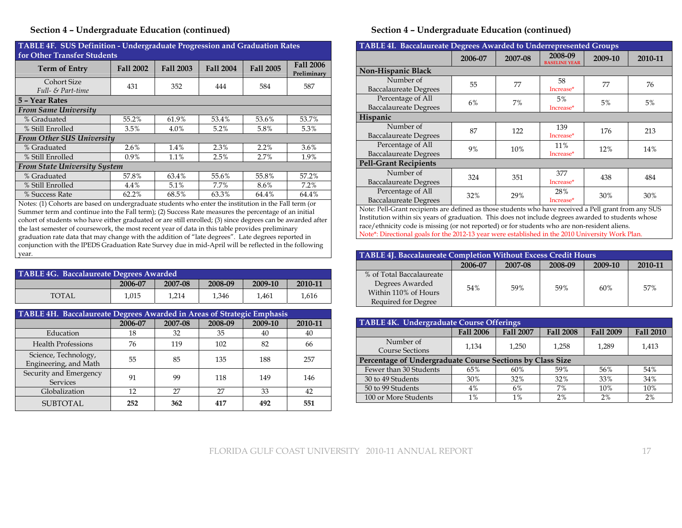#### **Section 4 – Undergraduate Education (continued)**

| TABLE 4F. SUS Definition - Undergraduate Progression and Graduation Rates<br>for Other Transfer Students |                  |                  |                  |                  |                                 |  |  |  |
|----------------------------------------------------------------------------------------------------------|------------------|------------------|------------------|------------------|---------------------------------|--|--|--|
| <b>Term of Entry</b>                                                                                     | <b>Fall 2002</b> | <b>Fall 2003</b> | <b>Fall 2004</b> | <b>Fall 2005</b> | <b>Fall 2006</b><br>Preliminary |  |  |  |
| <b>Cohort Size</b><br>Full- & Part-time                                                                  | 431              | 352              | 444              | 584              | 587                             |  |  |  |
| 5 - Year Rates                                                                                           |                  |                  |                  |                  |                                 |  |  |  |
| <b>From Same University</b>                                                                              |                  |                  |                  |                  |                                 |  |  |  |
| % Graduated                                                                                              | 55.2%            | 61.9%            | 53.4%            | 53.6%            | 53.7%                           |  |  |  |
| % Still Enrolled                                                                                         | 3.5%             | 4.0%             | 5.2%             | 5.8%             | 5.3%                            |  |  |  |
| <b>From Other SUS University</b>                                                                         |                  |                  |                  |                  |                                 |  |  |  |
| % Graduated                                                                                              | 2.6%             | 1.4%             | 2.3%             | 2.2%             | 3.6%                            |  |  |  |
| % Still Enrolled                                                                                         | 0.9%             | 1.1%             | 2.5%             | 2.7%             | 1.9%                            |  |  |  |
| <b>From State University System</b>                                                                      |                  |                  |                  |                  |                                 |  |  |  |
| % Graduated                                                                                              | 57.8%            | 63.4%            | 55.6%            | 55.8%            | 57.2%                           |  |  |  |
| % Still Enrolled                                                                                         | 4.4%             | 5.1%             | 7.7%             | 8.6%             | 7.2%                            |  |  |  |
| % Success Rate                                                                                           | 62.2%            | 68.5%            | 63.3%            | 64.4%            | 64.4%                           |  |  |  |
| Note: (1) Coborts are based on undergraduate students who enter the institution in the Fall term (or     |                  |                  |                  |                  |                                 |  |  |  |

Cohorts are based on undergraduate students who enter the institution in the Fall term (or Summer term and continue into the Fall term); (2) Success Rate measures the percentage of an initial cohort of students who have either graduated or are still enrolled; (3) since degrees can be awarded after the last semester of coursework, the most recent year of data in this table provides preliminary graduation rate data that may change with the addition of "late degrees". Late degrees reported in conjunction with the IPEDS Graduation Rate Survey due in mid-April will be reflected in the following year.

| TABLE 4G. Baccalaureate Degrees Awarded |         |         |         |         |         |  |  |  |
|-----------------------------------------|---------|---------|---------|---------|---------|--|--|--|
|                                         | 2006-07 | 2007-08 | 2008-09 | 2009-10 | 2010-11 |  |  |  |
| TOTAL.                                  | 1.015   | 1.214   | 1.346   | 1.461   | 1.616   |  |  |  |

| TABLE 4H. Baccalaureate Degrees Awarded in Areas of Strategic Emphasis |         |         |         |         |         |  |  |  |
|------------------------------------------------------------------------|---------|---------|---------|---------|---------|--|--|--|
|                                                                        | 2006-07 | 2007-08 | 2008-09 | 2009-10 | 2010-11 |  |  |  |
| Education                                                              | 18      | 32      | 35      | 40      | 40      |  |  |  |
| <b>Health Professions</b>                                              | 76      | 119     | 102     | 82      | 66      |  |  |  |
| Science, Technology,<br>Engineering, and Math                          | 55      | 85      | 135     | 188     | 257     |  |  |  |
| Security and Emergency<br><b>Services</b>                              | 91      | 99      | 118     | 149     | 146     |  |  |  |
| Globalization                                                          | 12      | 27      | 27      | 33      | 42      |  |  |  |
| <b>SUBTOTAL</b>                                                        | 252     | 362     | 417     | 492     | 551     |  |  |  |

#### **Section 4 – Undergraduate Education (continued)**

| TABLE 4I. Baccalaureate Degrees Awarded to Underrepresented Groups                                    |         |         |                                 |         |         |  |  |  |
|-------------------------------------------------------------------------------------------------------|---------|---------|---------------------------------|---------|---------|--|--|--|
|                                                                                                       | 2006-07 | 2007-08 | 2008-09<br><b>BASELINE YEAR</b> | 2009-10 | 2010-11 |  |  |  |
| Non-Hispanic Black                                                                                    |         |         |                                 |         |         |  |  |  |
| Number of                                                                                             | 55      | 77      | 58                              | 77      | 76      |  |  |  |
| <b>Baccalaureate Degrees</b>                                                                          |         |         | Increase*                       |         |         |  |  |  |
| Percentage of All                                                                                     | 6%      | 7%      | 5%                              | 5%      | 5%      |  |  |  |
| <b>Baccalaureate Degrees</b>                                                                          |         |         | Increase*                       |         |         |  |  |  |
| <b>Hispanic</b>                                                                                       |         |         |                                 |         |         |  |  |  |
| Number of                                                                                             | 87      | 122     | 139                             | 176     | 213     |  |  |  |
| <b>Baccalaureate Degrees</b>                                                                          |         |         | Increase*                       |         |         |  |  |  |
| Percentage of All                                                                                     | 9%      | 10%     | 11%                             | 12%     | 14%     |  |  |  |
| <b>Baccalaureate Degrees</b>                                                                          |         |         | Increase*                       |         |         |  |  |  |
| <b>Pell-Grant Recipients</b>                                                                          |         |         |                                 |         |         |  |  |  |
| Number of                                                                                             | 324     | 351     | 377                             | 438     | 484     |  |  |  |
| <b>Baccalaureate Degrees</b>                                                                          |         |         | Increase*                       |         |         |  |  |  |
| Percentage of All                                                                                     | 32%     | 29%     | 28%                             | 30%     | 30%     |  |  |  |
| <b>Baccalaureate Degrees</b>                                                                          |         |         | Increase*                       |         |         |  |  |  |
| Note: Pell-Grant recipients are defined as those students who have received a Pell grant from any SUS |         |         |                                 |         |         |  |  |  |
| Institution within six years of graduation. This does not include degrees awarded to students whose   |         |         |                                 |         |         |  |  |  |
| race/ethnicity code is missing (or not reported) or for students who are non-resident aliens.         |         |         |                                 |         |         |  |  |  |

Note\*: Directional goals for the 2012-13 year were established in the 2010 University Work Plan.

| <b>TABLE 4J. Baccalaureate Completion Without Excess Credit Hours</b> |         |         |         |         |         |  |  |  |
|-----------------------------------------------------------------------|---------|---------|---------|---------|---------|--|--|--|
|                                                                       | 2006-07 | 2007-08 | 2008-09 | 2009-10 | 2010-11 |  |  |  |
| % of Total Baccalaureate                                              |         |         | .59%    | 60%     | 57%     |  |  |  |
| Degrees Awarded                                                       | 54%     | .59%    |         |         |         |  |  |  |
| Within 110% of Hours                                                  |         |         |         |         |         |  |  |  |
| Required for Degree                                                   |         |         |         |         |         |  |  |  |

| TABLE 4K. Undergraduate Course Offerings                  |                  |                  |                  |                  |                  |  |  |
|-----------------------------------------------------------|------------------|------------------|------------------|------------------|------------------|--|--|
|                                                           | <b>Fall 2006</b> | <b>Fall 2007</b> | <b>Fall 2008</b> | <b>Fall 2009</b> | <b>Fall 2010</b> |  |  |
| Number of<br><b>Course Sections</b>                       | 1.134            | 1.250            | 1.258            | 1.289            | 1,413            |  |  |
| Percentage of Undergraduate Course Sections by Class Size |                  |                  |                  |                  |                  |  |  |
| Fewer than 30 Students                                    | 65%              | 60%              | 59%              | 56%              | 54%              |  |  |
| 30 to 49 Students                                         | 30%              | 32%              | 32%              | 33%              | 34%              |  |  |
| 50 to 99 Students                                         | 4%               | 6%               | 7%               | 10%              | 10%              |  |  |
| 100 or More Students                                      | $1\%$            | $1\%$            | 2%               | 2%               | 2%               |  |  |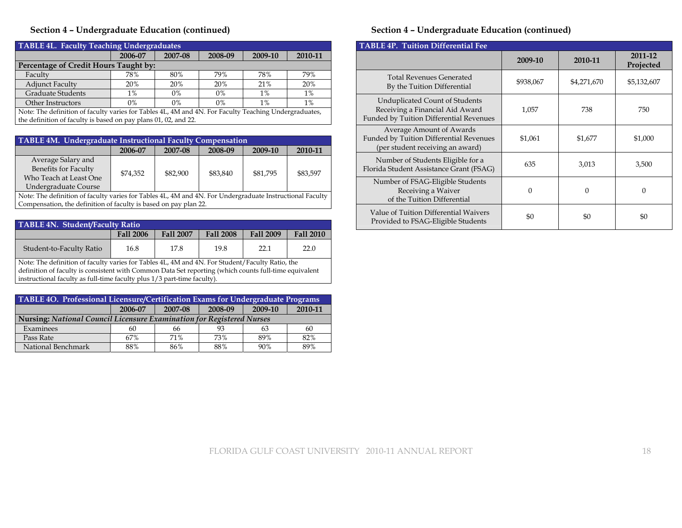#### **Section 4 – Undergraduate Education (continued)**

| <b>TABLE 4L. Faculty Teaching Undergraduates</b>                                                      |         |         |         |         |         |  |  |  |  |
|-------------------------------------------------------------------------------------------------------|---------|---------|---------|---------|---------|--|--|--|--|
|                                                                                                       | 2006-07 | 2007-08 | 2008-09 | 2009-10 | 2010-11 |  |  |  |  |
| Percentage of Credit Hours Taught by:                                                                 |         |         |         |         |         |  |  |  |  |
| Faculty                                                                                               | 78%     | 80%     | 79%     | 78%     | 79%     |  |  |  |  |
| <b>Adjunct Faculty</b>                                                                                | 20%     | 20%     | 20%     | 21%     | 20%     |  |  |  |  |
| Graduate Students                                                                                     | 1%      | $0\%$   | $0\%$   | $1\%$   | $1\%$   |  |  |  |  |
| Other Instructors                                                                                     | $0\%$   | $0\%$   | 0%      | $1\%$   | $1\%$   |  |  |  |  |
| Note: The definition of faculty varies for Tables 4L, 4M and 4N. For Faculty Teaching Undergraduates, |         |         |         |         |         |  |  |  |  |
| the definition of faculty is based on pay plans 01, 02, and 22.                                       |         |         |         |         |         |  |  |  |  |

| <b>TABLE 4M. Undergraduate Instructional Faculty Compensation</b>                                        |          |          |          |          |          |  |
|----------------------------------------------------------------------------------------------------------|----------|----------|----------|----------|----------|--|
|                                                                                                          | 2006-07  | 2007-08  | 2008-09  | 2009-10  | 2010-11  |  |
| Average Salary and                                                                                       |          |          |          |          |          |  |
| Benefits for Faculty                                                                                     | \$74,352 | \$82,900 | \$83,840 | \$81,795 | \$83,597 |  |
| Who Teach at Least One                                                                                   |          |          |          |          |          |  |
| Undergraduate Course                                                                                     |          |          |          |          |          |  |
| Note: The definition of faculty varies for Tables 4L, 4M and 4N. For Undergraduate Instructional Faculty |          |          |          |          |          |  |

Compensation, the definition of faculty is based on pay plan 22.

| <b>TABLE 4N. Student/Faculty Ratio</b> |           |                  |                  |           |                  |  |  |
|----------------------------------------|-----------|------------------|------------------|-----------|------------------|--|--|
|                                        | Fall 2006 | <b>Fall 2007</b> | <b>Fall 2008</b> | Fall 2009 | <b>Fall 2010</b> |  |  |
| Student-to-Faculty Ratio               | 16.8      | 17.8             | 19.8             | 22.1      | 22.0             |  |  |

Note: The definition of faculty varies for Tables 4L, 4M and 4N. For Student/Faculty Ratio, the definition of faculty is consistent with Common Data Set reporting (which counts full-time equivalent instructional faculty as full-time faculty plus 1/3 part-time faculty).

| TABLE 4O. Professional Licensure/Certification Exams for Undergraduate Programs |         |                                          |     |     |     |  |  |
|---------------------------------------------------------------------------------|---------|------------------------------------------|-----|-----|-----|--|--|
|                                                                                 | 2006-07 | 2010-11<br>2008-09<br>2009-10<br>2007-08 |     |     |     |  |  |
| Nursing: National Council Licensure Examination for Registered Nurses           |         |                                          |     |     |     |  |  |
| Examinees                                                                       | 60      | 66                                       | 93  | 63  | 60  |  |  |
| Pass Rate                                                                       | 67%     | 71%                                      | 73% | 89% | 82% |  |  |
| National Benchmark                                                              | 88%     | 86%                                      | 88% | 90% | 89% |  |  |

#### **Section 4 – Undergraduate Education (continued)**

| <b>TABLE 4P. Tuition Differential Fee</b>                                                                    |           |             |                      |  |  |  |  |
|--------------------------------------------------------------------------------------------------------------|-----------|-------------|----------------------|--|--|--|--|
|                                                                                                              | 2009-10   | 2010-11     | 2011-12<br>Projected |  |  |  |  |
| <b>Total Revenues Generated</b><br>By the Tuition Differential                                               | \$938,067 | \$4,271,670 | \$5,132,607          |  |  |  |  |
| Unduplicated Count of Students<br>Receiving a Financial Aid Award<br>Funded by Tuition Differential Revenues | 1.057     | 738         | 750                  |  |  |  |  |
| Average Amount of Awards<br>Funded by Tuition Differential Revenues<br>(per student receiving an award)      | \$1,061   | \$1,677     | \$1,000              |  |  |  |  |
| Number of Students Eligible for a<br>Florida Student Assistance Grant (FSAG)                                 | 635       | 3,013       | 3,500                |  |  |  |  |
| Number of FSAG-Eligible Students<br>Receiving a Waiver<br>of the Tuition Differential                        | 0         | 0           | 0                    |  |  |  |  |
| Value of Tuition Differential Waivers<br>Provided to FSAG-Eligible Students                                  | \$0       | \$0         | \$0                  |  |  |  |  |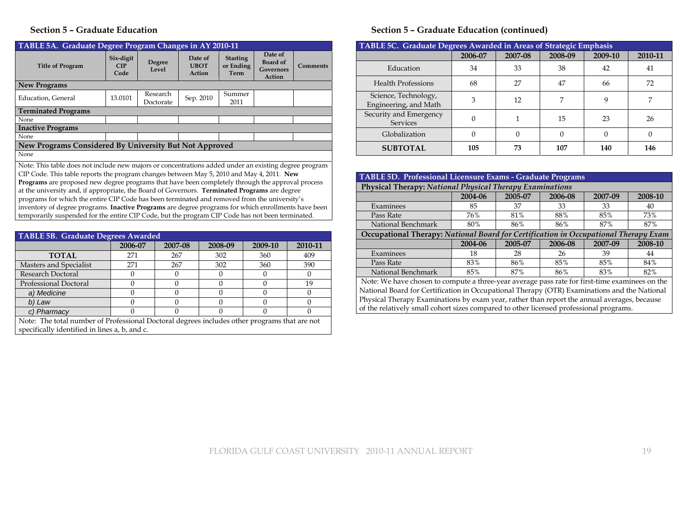#### **Section 5 – Graduate Education**

| TABLE 5A. Graduate Degree Program Changes in AY 2010-11                                                                                                                                            |                                 |                       |                                         |                                      |                                            |                 |  |  |
|----------------------------------------------------------------------------------------------------------------------------------------------------------------------------------------------------|---------------------------------|-----------------------|-----------------------------------------|--------------------------------------|--------------------------------------------|-----------------|--|--|
| <b>Title of Program</b>                                                                                                                                                                            | Six-digit<br><b>CIP</b><br>Code | Degree<br>Level       | Date of<br><b>UBOT</b><br><b>Action</b> | <b>Starting</b><br>or Ending<br>Term | Date of<br>Board of<br>Governors<br>Action | <b>Comments</b> |  |  |
| <b>New Programs</b>                                                                                                                                                                                |                                 |                       |                                         |                                      |                                            |                 |  |  |
| Education, General                                                                                                                                                                                 | 13.0101                         | Research<br>Doctorate | Sep. 2010                               | Summer<br>2011                       |                                            |                 |  |  |
| <b>Terminated Programs</b>                                                                                                                                                                         |                                 |                       |                                         |                                      |                                            |                 |  |  |
| None                                                                                                                                                                                               |                                 |                       |                                         |                                      |                                            |                 |  |  |
| <b>Inactive Programs</b>                                                                                                                                                                           |                                 |                       |                                         |                                      |                                            |                 |  |  |
| None                                                                                                                                                                                               |                                 |                       |                                         |                                      |                                            |                 |  |  |
| New Programs Considered By University But Not Approved                                                                                                                                             |                                 |                       |                                         |                                      |                                            |                 |  |  |
| None                                                                                                                                                                                               |                                 |                       |                                         |                                      |                                            |                 |  |  |
| Note: This table does not include new majors or concentrations added under an existing degree program<br>CIP Code. This table reports the program changes between May 5, 2010 and May 4, 2011. New |                                 |                       |                                         |                                      |                                            |                 |  |  |

**Programs** are proposed new degree programs that have been completely through the approval process at the university and, if appropriate, the Board of Governors. **Terminated Programs** are degree programs for which the entire CIP Code has been terminated and removed from the university's inventory of degree programs. **Inactive Programs** are degree programs for which enrollments have been temporarily suspended for the entire CIP Code, but the program CIP Code has not been terminated.

| <b>TABLE 5B. Graduate Degrees Awarded</b>                                                    |         |         |         |         |         |  |  |
|----------------------------------------------------------------------------------------------|---------|---------|---------|---------|---------|--|--|
|                                                                                              | 2006-07 | 2007-08 | 2008-09 | 2009-10 | 2010-11 |  |  |
| <b>TOTAL</b>                                                                                 | 271     | 267     | 302     | 360     | 409     |  |  |
| Masters and Specialist                                                                       | 271     | 267     | 302     | 360     | 390     |  |  |
| Research Doctoral                                                                            |         |         |         |         |         |  |  |
| <b>Professional Doctoral</b>                                                                 |         |         |         |         | 19      |  |  |
| a) Medicine                                                                                  |         |         |         |         |         |  |  |
| b) Law                                                                                       |         |         |         |         |         |  |  |
| c) Pharmacy                                                                                  |         |         |         |         |         |  |  |
| Note: The total number of Professional Doctoral degrees includes other programs that are not |         |         |         |         |         |  |  |
| specifically identified in lines a, b, and c.                                                |         |         |         |         |         |  |  |

#### **Section 5 – Graduate Education (continued)**

| TABLE 5C. Graduate Degrees Awarded in Areas of Strategic Emphasis |         |          |         |         |         |  |  |  |
|-------------------------------------------------------------------|---------|----------|---------|---------|---------|--|--|--|
|                                                                   | 2006-07 | 2007-08  | 2008-09 | 2009-10 | 2010-11 |  |  |  |
| Education                                                         | 34      | 33       | 38      | 42      | 41      |  |  |  |
| <b>Health Professions</b>                                         | 68      | 27       | 47      | 66      | 72      |  |  |  |
| Science, Technology,<br>Engineering, and Math                     | 3       | 12       |         | 9       | 7       |  |  |  |
| Security and Emergency<br><b>Services</b>                         | 0       | 1        | 15      | 23      | 26      |  |  |  |
| Globalization                                                     | 0       | $\theta$ | 0       | 0       | 0       |  |  |  |
| <b>SUBTOTAL</b>                                                   | 105     | 73       | 107     | 140     | 146     |  |  |  |

| TABLE 5D. Professional Licensure Exams - Graduate Programs                                     |                                                                                             |                                          |     |     |     |  |  |  |  |
|------------------------------------------------------------------------------------------------|---------------------------------------------------------------------------------------------|------------------------------------------|-----|-----|-----|--|--|--|--|
| <b>Physical Therapy: National Physical Therapy Examinations</b>                                |                                                                                             |                                          |     |     |     |  |  |  |  |
|                                                                                                | 2004-06                                                                                     | 2005-07<br>2006-08<br>2007-09<br>2008-10 |     |     |     |  |  |  |  |
| Examinees                                                                                      | 85                                                                                          | 37<br>33<br>33<br>40                     |     |     |     |  |  |  |  |
| Pass Rate                                                                                      | 76%                                                                                         | 81%                                      | 88% | 85% | 73% |  |  |  |  |
| National Benchmark                                                                             | 80%                                                                                         | 86%                                      | 86% | 87% | 87% |  |  |  |  |
| Occupational Therapy: National Board for Certification in Occupational Therapy Exam            |                                                                                             |                                          |     |     |     |  |  |  |  |
|                                                                                                | 2004-06                                                                                     | 2005-07<br>2006-08<br>2007-09<br>2008-10 |     |     |     |  |  |  |  |
| Examinees                                                                                      | 18                                                                                          | 28                                       | 26  | 39  | 44  |  |  |  |  |
| Pass Rate                                                                                      | 83%                                                                                         | 86%                                      | 85% | 85% | 84% |  |  |  |  |
| National Benchmark<br>85%<br>87%<br>86%<br>83%<br>82%                                          |                                                                                             |                                          |     |     |     |  |  |  |  |
| Note: We have chosen to compute a three-year average pass rate for first-time examinees on the |                                                                                             |                                          |     |     |     |  |  |  |  |
| National Board for Certification in Occupational Therapy (OTR) Examinations and the National   |                                                                                             |                                          |     |     |     |  |  |  |  |
|                                                                                                | Physical Therapy Examinations by exam year, rather than report the annual averages, because |                                          |     |     |     |  |  |  |  |

of the relatively small cohort sizes compared to other licensed professional programs.